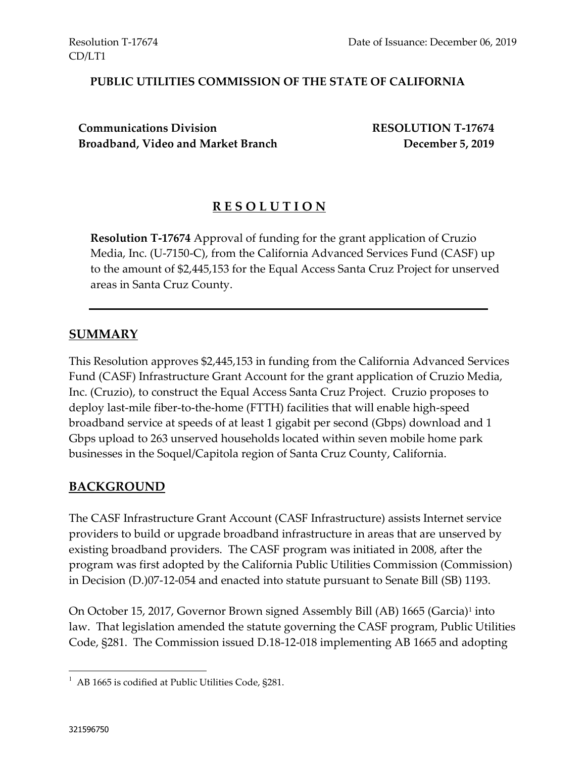#### **PUBLIC UTILITIES COMMISSION OF THE STATE OF CALIFORNIA**

**Communications Division RESOLUTION T-17674 Broadband, Video and Market Branch December 5, 2019**

### **R E S O L U T I O N**

**Resolution T-17674** Approval of funding for the grant application of Cruzio Media, Inc. (U-7150-C), from the California Advanced Services Fund (CASF) up to the amount of \$2,445,153 for the Equal Access Santa Cruz Project for unserved areas in Santa Cruz County.

#### **SUMMARY**

This Resolution approves \$2,445,153 in funding from the California Advanced Services Fund (CASF) Infrastructure Grant Account for the grant application of Cruzio Media, Inc. (Cruzio), to construct the Equal Access Santa Cruz Project. Cruzio proposes to deploy last-mile fiber-to-the-home (FTTH) facilities that will enable high-speed broadband service at speeds of at least 1 gigabit per second (Gbps) download and 1 Gbps upload to 263 unserved households located within seven mobile home park businesses in the Soquel/Capitola region of Santa Cruz County, California.

#### **BACKGROUND**

The CASF Infrastructure Grant Account (CASF Infrastructure) assists Internet service providers to build or upgrade broadband infrastructure in areas that are unserved by existing broadband providers. The CASF program was initiated in 2008, after the program was first adopted by the California Public Utilities Commission (Commission) in Decision (D.)07-12-054 and enacted into statute pursuant to Senate Bill (SB) 1193.

On October 15, 2017, Governor Brown signed Assembly Bill (AB) 1665 (Garcia)<sup>1</sup> into law. That legislation amended the statute governing the CASF program, Public Utilities Code, §281. The Commission issued D.18-12-018 implementing AB 1665 and adopting

l

 $1$  AB 1665 is codified at Public Utilities Code, §281.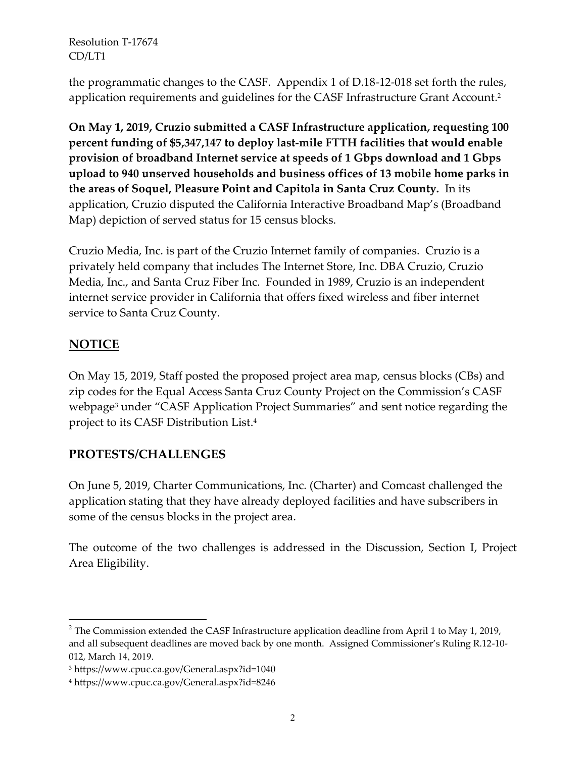the programmatic changes to the CASF. Appendix 1 of D.18-12-018 set forth the rules, application requirements and guidelines for the CASF Infrastructure Grant Account. 2

**On May 1, 2019, Cruzio submitted a CASF Infrastructure application, requesting 100 percent funding of \$5,347,147 to deploy last-mile FTTH facilities that would enable provision of broadband Internet service at speeds of 1 Gbps download and 1 Gbps upload to 940 unserved households and business offices of 13 mobile home parks in the areas of Soquel, Pleasure Point and Capitola in Santa Cruz County.** In its application, Cruzio disputed the California Interactive Broadband Map's (Broadband Map) depiction of served status for 15 census blocks.

Cruzio Media, Inc. is part of the Cruzio Internet family of companies. Cruzio is a privately held company that includes The Internet Store, Inc. DBA Cruzio, Cruzio Media, Inc., and Santa Cruz Fiber Inc. Founded in 1989, Cruzio is an independent internet service provider in California that offers fixed wireless and fiber internet service to Santa Cruz County.

# **NOTICE**

l

On May 15, 2019, Staff posted the proposed project area map, census blocks (CBs) and zip codes for the Equal Access Santa Cruz County Project on the Commission's CASF webpage<sup>3</sup> under "CASF Application Project Summaries" and sent notice regarding the project to its CASF Distribution List. 4

# **PROTESTS/CHALLENGES**

On June 5, 2019, Charter Communications, Inc. (Charter) and Comcast challenged the application stating that they have already deployed facilities and have subscribers in some of the census blocks in the project area.

The outcome of the two challenges is addressed in the Discussion, Section I, Project Area Eligibility.

 $2$  The Commission extended the CASF Infrastructure application deadline from April 1 to May 1, 2019, and all subsequent deadlines are moved back by one month. Assigned Commissioner's Ruling R.12-10- 012, March 14, 2019.

<sup>3</sup> https://www.cpuc.ca.gov/General.aspx?id=1040

<sup>4</sup> https://www.cpuc.ca.gov/General.aspx?id=8246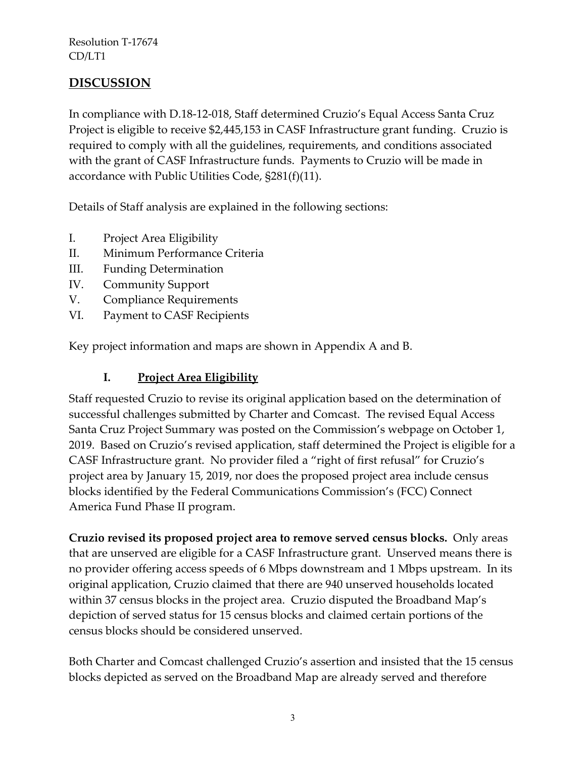## **DISCUSSION**

In compliance with D.18-12-018, Staff determined Cruzio's Equal Access Santa Cruz Project is eligible to receive \$2,445,153 in CASF Infrastructure grant funding. Cruzio is required to comply with all the guidelines, requirements, and conditions associated with the grant of CASF Infrastructure funds. Payments to Cruzio will be made in accordance with Public Utilities Code, §281(f)(11).

Details of Staff analysis are explained in the following sections:

- I. Project Area Eligibility
- II. Minimum Performance Criteria
- III. Funding Determination
- IV. Community Support
- V. Compliance Requirements
- VI. Payment to CASF Recipients

Key project information and maps are shown in Appendix A and B.

### **I. Project Area Eligibility**

Staff requested Cruzio to revise its original application based on the determination of successful challenges submitted by Charter and Comcast. The revised Equal Access Santa Cruz Project Summary was posted on the Commission's webpage on October 1, 2019. Based on Cruzio's revised application, staff determined the Project is eligible for a CASF Infrastructure grant. No provider filed a "right of first refusal" for Cruzio's project area by January 15, 2019, nor does the proposed project area include census blocks identified by the Federal Communications Commission's (FCC) Connect America Fund Phase II program.

**Cruzio revised its proposed project area to remove served census blocks.** Only areas that are unserved are eligible for a CASF Infrastructure grant. Unserved means there is no provider offering access speeds of 6 Mbps downstream and 1 Mbps upstream. In its original application, Cruzio claimed that there are 940 unserved households located within 37 census blocks in the project area. Cruzio disputed the Broadband Map's depiction of served status for 15 census blocks and claimed certain portions of the census blocks should be considered unserved.

Both Charter and Comcast challenged Cruzio's assertion and insisted that the 15 census blocks depicted as served on the Broadband Map are already served and therefore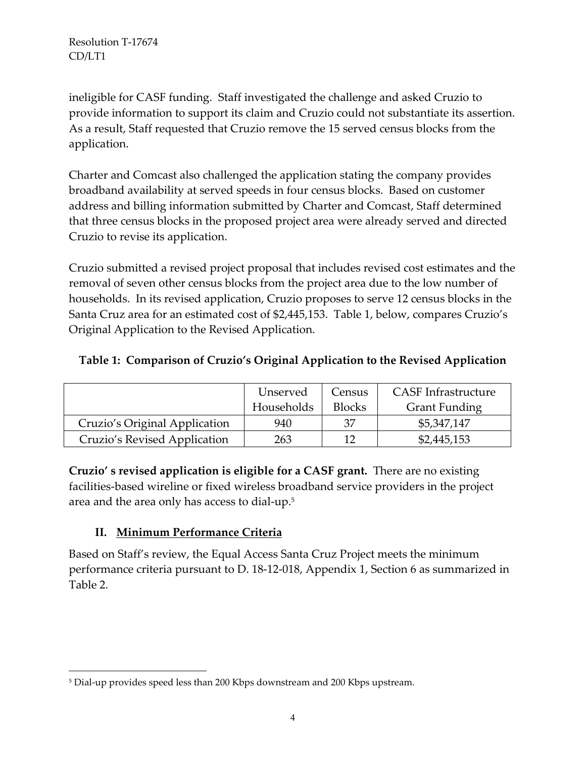ineligible for CASF funding. Staff investigated the challenge and asked Cruzio to provide information to support its claim and Cruzio could not substantiate its assertion. As a result, Staff requested that Cruzio remove the 15 served census blocks from the application.

Charter and Comcast also challenged the application stating the company provides broadband availability at served speeds in four census blocks. Based on customer address and billing information submitted by Charter and Comcast, Staff determined that three census blocks in the proposed project area were already served and directed Cruzio to revise its application.

Cruzio submitted a revised project proposal that includes revised cost estimates and the removal of seven other census blocks from the project area due to the low number of households. In its revised application, Cruzio proposes to serve 12 census blocks in the Santa Cruz area for an estimated cost of \$2,445,153. Table 1, below, compares Cruzio's Original Application to the Revised Application.

### **Table 1: Comparison of Cruzio's Original Application to the Revised Application**

|                               | Unserved   | Census        | <b>CASF</b> Infrastructure |
|-------------------------------|------------|---------------|----------------------------|
|                               | Households | <b>Blocks</b> | <b>Grant Funding</b>       |
| Cruzio's Original Application | 940        | 37            | \$5,347,147                |
| Cruzio's Revised Application  | 263        | 12            | \$2,445,153                |

**Cruzio' s revised application is eligible for a CASF grant.** There are no existing facilities-based wireline or fixed wireless broadband service providers in the project area and the area only has access to dial-up. 5

## **II. Minimum Performance Criteria**

l

Based on Staff's review, the Equal Access Santa Cruz Project meets the minimum performance criteria pursuant to D. 18-12-018, Appendix 1, Section 6 as summarized in Table 2.

<sup>5</sup> Dial-up provides speed less than 200 Kbps downstream and 200 Kbps upstream.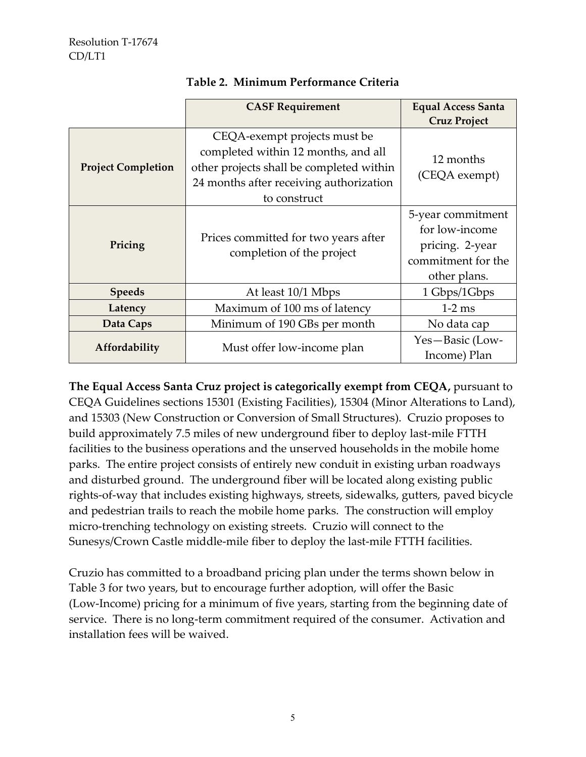|                                             | <b>CASF Requirement</b>                                                                                                                                                    | <b>Equal Access Santa</b><br><b>Cruz Project</b>                                             |
|---------------------------------------------|----------------------------------------------------------------------------------------------------------------------------------------------------------------------------|----------------------------------------------------------------------------------------------|
| <b>Project Completion</b>                   | CEQA-exempt projects must be<br>completed within 12 months, and all<br>other projects shall be completed within<br>24 months after receiving authorization<br>to construct | 12 months<br>(CEQA exempt)                                                                   |
| Pricing                                     | Prices committed for two years after<br>completion of the project                                                                                                          | 5-year commitment<br>for low-income<br>pricing. 2-year<br>commitment for the<br>other plans. |
| <b>Speeds</b>                               | At least 10/1 Mbps                                                                                                                                                         | 1 Gbps/1Gbps                                                                                 |
| Latency                                     | Maximum of 100 ms of latency                                                                                                                                               | $1-2$ ms                                                                                     |
| Data Caps                                   | Minimum of 190 GBs per month                                                                                                                                               | No data cap                                                                                  |
| Affordability<br>Must offer low-income plan |                                                                                                                                                                            | Yes-Basic (Low-<br>Income) Plan                                                              |

#### **Table 2. Minimum Performance Criteria**

**The Equal Access Santa Cruz project is categorically exempt from CEQA,** pursuant to CEQA Guidelines sections 15301 (Existing Facilities), 15304 (Minor Alterations to Land), and 15303 (New Construction or Conversion of Small Structures). Cruzio proposes to build approximately 7.5 miles of new underground fiber to deploy last-mile FTTH facilities to the business operations and the unserved households in the mobile home parks. The entire project consists of entirely new conduit in existing urban roadways and disturbed ground. The underground fiber will be located along existing public rights-of-way that includes existing highways, streets, sidewalks, gutters, paved bicycle and pedestrian trails to reach the mobile home parks. The construction will employ micro-trenching technology on existing streets. Cruzio will connect to the Sunesys/Crown Castle middle-mile fiber to deploy the last-mile FTTH facilities.

Cruzio has committed to a broadband pricing plan under the terms shown below in Table 3 for two years, but to encourage further adoption, will offer the Basic (Low-Income) pricing for a minimum of five years, starting from the beginning date of service. There is no long-term commitment required of the consumer. Activation and installation fees will be waived.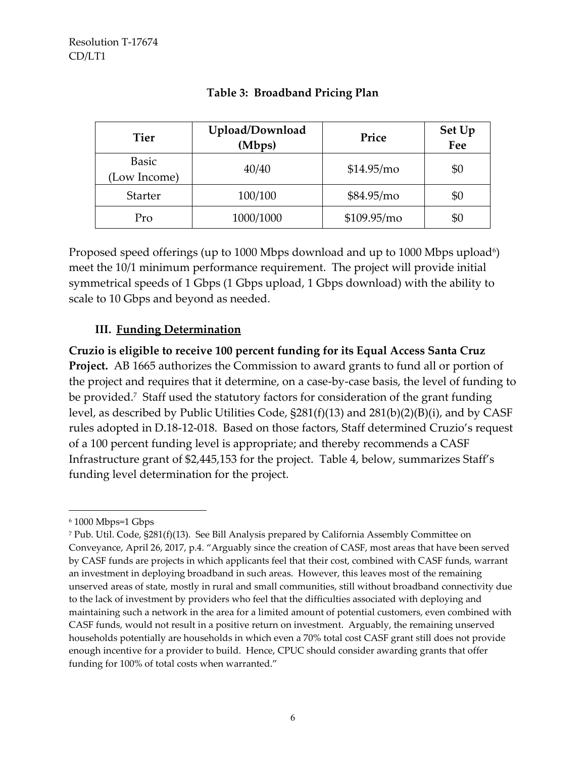| <b>Tier</b>                  | Upload/Download<br>(Mbps) | Price        | Set Up<br>Fee |
|------------------------------|---------------------------|--------------|---------------|
| <b>Basic</b><br>(Low Income) | 40/40                     | \$14.95/mo   | \$0           |
| <b>Starter</b>               | 100/100                   | \$84.95/mo   | \$0           |
| Pro                          | 1000/1000                 | \$109.95/mol | \$0           |

#### **Table 3: Broadband Pricing Plan**

Proposed speed offerings (up to 1000 Mbps download and up to 1000 Mbps upload<sup>6</sup>) meet the 10/1 minimum performance requirement. The project will provide initial symmetrical speeds of 1 Gbps (1 Gbps upload, 1 Gbps download) with the ability to scale to 10 Gbps and beyond as needed.

### **III. Funding Determination**

**Cruzio is eligible to receive 100 percent funding for its Equal Access Santa Cruz Project.** AB 1665 authorizes the Commission to award grants to fund all or portion of the project and requires that it determine, on a case-by-case basis, the level of funding to be provided.<sup>7</sup> Staff used the statutory factors for consideration of the grant funding level, as described by Public Utilities Code, §281(f)(13) and 281(b)(2)(B)(i), and by CASF rules adopted in D.18-12-018. Based on those factors, Staff determined Cruzio's request of a 100 percent funding level is appropriate; and thereby recommends a CASF Infrastructure grant of \$2,445,153 for the project. Table 4, below, summarizes Staff's funding level determination for the project.

 $\overline{\phantom{a}}$ 

<sup>6</sup> 1000 Mbps=1 Gbps

<sup>7</sup> Pub. Util. Code, §281(f)(13). See Bill Analysis prepared by California Assembly Committee on Conveyance, April 26, 2017, p.4. "Arguably since the creation of CASF, most areas that have been served by CASF funds are projects in which applicants feel that their cost, combined with CASF funds, warrant an investment in deploying broadband in such areas. However, this leaves most of the remaining unserved areas of state, mostly in rural and small communities, still without broadband connectivity due to the lack of investment by providers who feel that the difficulties associated with deploying and maintaining such a network in the area for a limited amount of potential customers, even combined with CASF funds, would not result in a positive return on investment. Arguably, the remaining unserved households potentially are households in which even a 70% total cost CASF grant still does not provide enough incentive for a provider to build. Hence, CPUC should consider awarding grants that offer funding for 100% of total costs when warranted."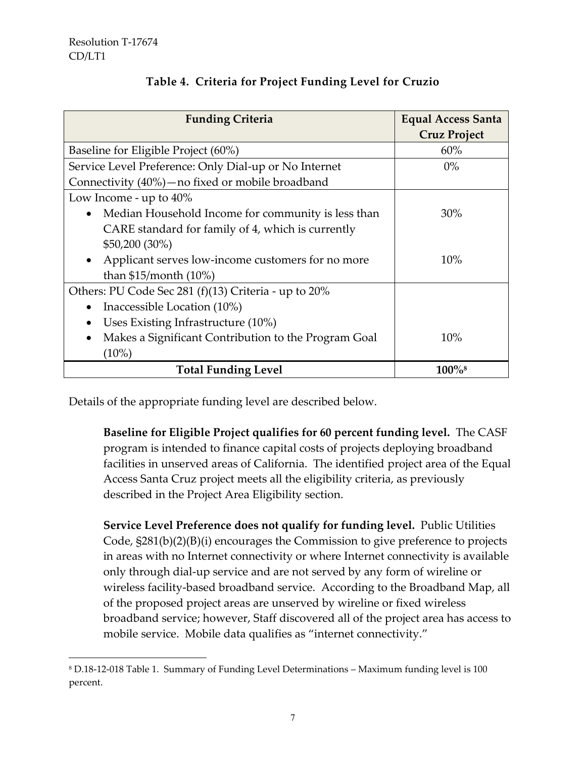$\overline{a}$ 

| <b>Funding Criteria</b>                                           | <b>Equal Access Santa</b> |
|-------------------------------------------------------------------|---------------------------|
|                                                                   | <b>Cruz Project</b>       |
| Baseline for Eligible Project (60%)                               | 60%                       |
| Service Level Preference: Only Dial-up or No Internet             | $0\%$                     |
| Connectivity (40%) – no fixed or mobile broadband                 |                           |
| Low Income - up to $40\%$                                         |                           |
| Median Household Income for community is less than<br>$\bullet$   | 30%                       |
| CARE standard for family of 4, which is currently                 |                           |
| $$50,200 (30\%)$                                                  |                           |
| Applicant serves low-income customers for no more<br>$\bullet$    | 10%                       |
| than $$15/m$ onth (10%)                                           |                           |
| Others: PU Code Sec 281 (f)(13) Criteria - up to 20%              |                           |
| Inaccessible Location (10%)<br>$\bullet$                          |                           |
| Uses Existing Infrastructure (10%)<br>$\bullet$                   |                           |
| Makes a Significant Contribution to the Program Goal<br>$\bullet$ | 10%                       |
| $(10\%)$                                                          |                           |
| <b>Total Funding Level</b>                                        | $100\%$ <sup>8</sup>      |

# **Table 4. Criteria for Project Funding Level for Cruzio**

Details of the appropriate funding level are described below.

**Baseline for Eligible Project qualifies for 60 percent funding level.** The CASF program is intended to finance capital costs of projects deploying broadband facilities in unserved areas of California. The identified project area of the Equal Access Santa Cruz project meets all the eligibility criteria, as previously described in the Project Area Eligibility section.

**Service Level Preference does not qualify for funding level.** Public Utilities Code, §281(b)(2)(B)(i) encourages the Commission to give preference to projects in areas with no Internet connectivity or where Internet connectivity is available only through dial-up service and are not served by any form of wireline or wireless facility-based broadband service. According to the Broadband Map, all of the proposed project areas are unserved by wireline or fixed wireless broadband service; however, Staff discovered all of the project area has access to mobile service. Mobile data qualifies as "internet connectivity."

<sup>8</sup> D.18-12-018 Table 1. Summary of Funding Level Determinations – Maximum funding level is 100 percent.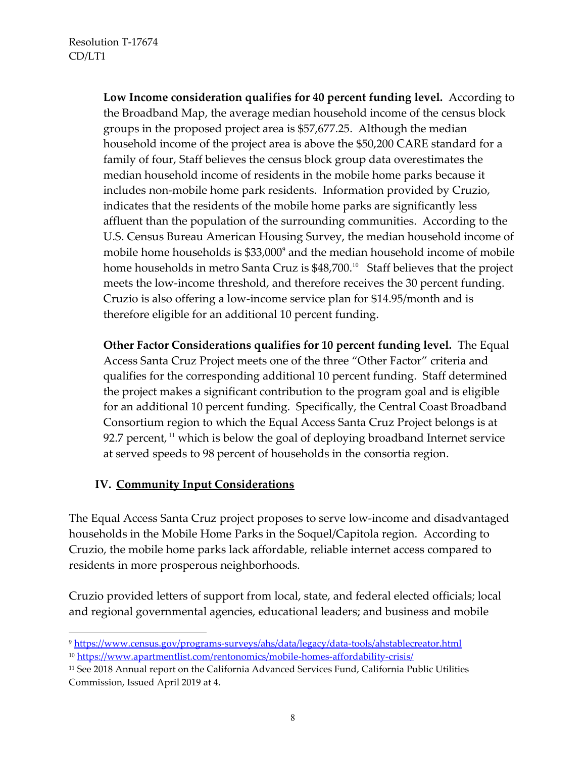**Low Income consideration qualifies for 40 percent funding level.** According to the Broadband Map, the average median household income of the census block groups in the proposed project area is \$57,677.25. Although the median household income of the project area is above the \$50,200 CARE standard for a family of four, Staff believes the census block group data overestimates the median household income of residents in the mobile home parks because it includes non-mobile home park residents. Information provided by Cruzio, indicates that the residents of the mobile home parks are significantly less affluent than the population of the surrounding communities. According to the U.S. Census Bureau American Housing Survey, the median household income of mobile home households is  $$33,000^{\circ}$$  and the median household income of mobile home households in metro Santa Cruz is \$48,700. 10 Staff believes that the project meets the low-income threshold, and therefore receives the 30 percent funding. Cruzio is also offering a low-income service plan for \$14.95/month and is therefore eligible for an additional 10 percent funding.

**Other Factor Considerations qualifies for 10 percent funding level.** The Equal Access Santa Cruz Project meets one of the three "Other Factor" criteria and qualifies for the corresponding additional 10 percent funding. Staff determined the project makes a significant contribution to the program goal and is eligible for an additional 10 percent funding. Specifically, the Central Coast Broadband Consortium region to which the Equal Access Santa Cruz Project belongs is at 92.7 percent,  $\frac{11}{11}$  which is below the goal of deploying broadband Internet service at served speeds to 98 percent of households in the consortia region.

### **IV. Community Input Considerations**

 $\overline{a}$ 

The Equal Access Santa Cruz project proposes to serve low-income and disadvantaged households in the Mobile Home Parks in the Soquel/Capitola region. According to Cruzio, the mobile home parks lack affordable, reliable internet access compared to residents in more prosperous neighborhoods.

Cruzio provided letters of support from local, state, and federal elected officials; local and regional governmental agencies, educational leaders; and business and mobile

<sup>9</sup> <https://www.census.gov/programs-surveys/ahs/data/legacy/data-tools/ahstablecreator.html> <sup>10</sup> <https://www.apartmentlist.com/rentonomics/mobile-homes-affordability-crisis/>

<sup>11</sup> See 2018 Annual report on the California Advanced Services Fund, California Public Utilities Commission, Issued April 2019 at 4.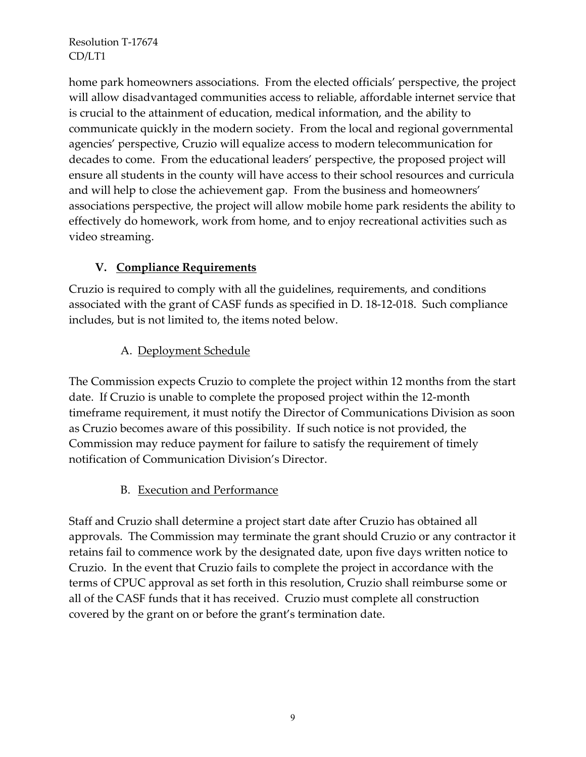home park homeowners associations. From the elected officials' perspective, the project will allow disadvantaged communities access to reliable, affordable internet service that is crucial to the attainment of education, medical information, and the ability to communicate quickly in the modern society. From the local and regional governmental agencies' perspective, Cruzio will equalize access to modern telecommunication for decades to come. From the educational leaders' perspective, the proposed project will ensure all students in the county will have access to their school resources and curricula and will help to close the achievement gap. From the business and homeowners' associations perspective, the project will allow mobile home park residents the ability to effectively do homework, work from home, and to enjoy recreational activities such as video streaming.

## **V. Compliance Requirements**

Cruzio is required to comply with all the guidelines, requirements, and conditions associated with the grant of CASF funds as specified in D. 18-12-018. Such compliance includes, but is not limited to, the items noted below.

## A. Deployment Schedule

The Commission expects Cruzio to complete the project within 12 months from the start date. If Cruzio is unable to complete the proposed project within the 12-month timeframe requirement, it must notify the Director of Communications Division as soon as Cruzio becomes aware of this possibility. If such notice is not provided, the Commission may reduce payment for failure to satisfy the requirement of timely notification of Communication Division's Director.

### B. Execution and Performance

Staff and Cruzio shall determine a project start date after Cruzio has obtained all approvals. The Commission may terminate the grant should Cruzio or any contractor it retains fail to commence work by the designated date, upon five days written notice to Cruzio. In the event that Cruzio fails to complete the project in accordance with the terms of CPUC approval as set forth in this resolution, Cruzio shall reimburse some or all of the CASF funds that it has received. Cruzio must complete all construction covered by the grant on or before the grant's termination date.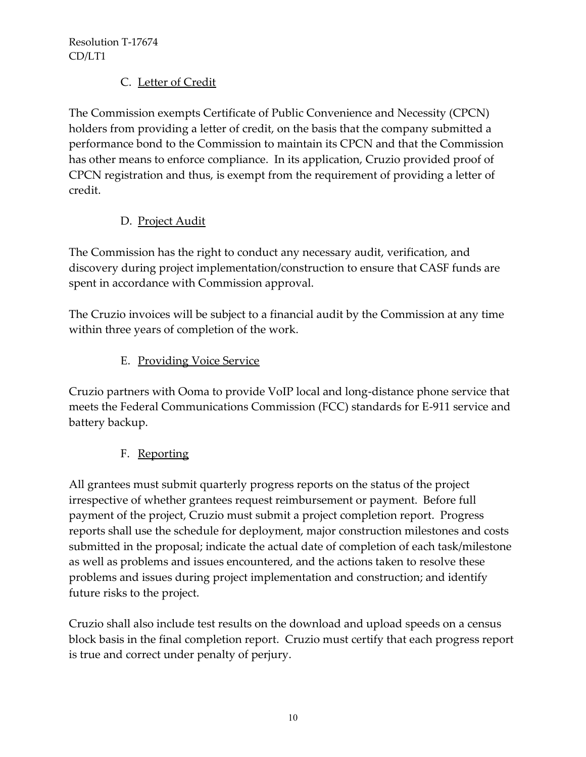## C. Letter of Credit

The Commission exempts Certificate of Public Convenience and Necessity (CPCN) holders from providing a letter of credit, on the basis that the company submitted a performance bond to the Commission to maintain its CPCN and that the Commission has other means to enforce compliance. In its application, Cruzio provided proof of CPCN registration and thus, is exempt from the requirement of providing a letter of credit.

## D. Project Audit

The Commission has the right to conduct any necessary audit, verification, and discovery during project implementation/construction to ensure that CASF funds are spent in accordance with Commission approval.

The Cruzio invoices will be subject to a financial audit by the Commission at any time within three years of completion of the work.

## E. Providing Voice Service

Cruzio partners with Ooma to provide VoIP local and long-distance phone service that meets the Federal Communications Commission (FCC) standards for E-911 service and battery backup.

## F. Reporting

All grantees must submit quarterly progress reports on the status of the project irrespective of whether grantees request reimbursement or payment. Before full payment of the project, Cruzio must submit a project completion report. Progress reports shall use the schedule for deployment, major construction milestones and costs submitted in the proposal; indicate the actual date of completion of each task/milestone as well as problems and issues encountered, and the actions taken to resolve these problems and issues during project implementation and construction; and identify future risks to the project.

Cruzio shall also include test results on the download and upload speeds on a census block basis in the final completion report. Cruzio must certify that each progress report is true and correct under penalty of perjury.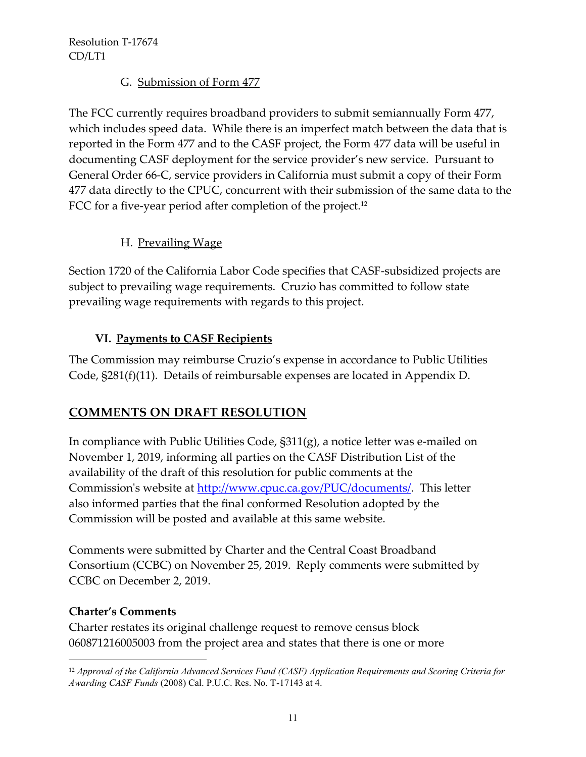### G. Submission of Form 477

The FCC currently requires broadband providers to submit semiannually Form 477, which includes speed data. While there is an imperfect match between the data that is reported in the Form 477 and to the CASF project, the Form 477 data will be useful in documenting CASF deployment for the service provider's new service. Pursuant to General Order 66-C, service providers in California must submit a copy of their Form 477 data directly to the CPUC, concurrent with their submission of the same data to the FCC for a five-year period after completion of the project.<sup>12</sup>

### H. Prevailing Wage

Section 1720 of the California Labor Code specifies that CASF-subsidized projects are subject to prevailing wage requirements. Cruzio has committed to follow state prevailing wage requirements with regards to this project.

### **VI. Payments to CASF Recipients**

The Commission may reimburse Cruzio's expense in accordance to Public Utilities Code, §281(f)(11). Details of reimbursable expenses are located in Appendix D.

# **COMMENTS ON DRAFT RESOLUTION**

In compliance with Public Utilities Code, §311(g), a notice letter was e-mailed on November 1, 2019, informing all parties on the CASF Distribution List of the availability of the draft of this resolution for public comments at the Commission's website at [http://www.cpuc.ca.gov/PUC/documents/.](http://www.cpuc.ca.gov/PUC/documents/) This letter also informed parties that the final conformed Resolution adopted by the Commission will be posted and available at this same website.

Comments were submitted by Charter and the Central Coast Broadband Consortium (CCBC) on November 25, 2019. Reply comments were submitted by CCBC on December 2, 2019.

### **Charter's Comments**

 $\overline{\phantom{a}}$ 

Charter restates its original challenge request to remove census block 060871216005003 from the project area and states that there is one or more

<sup>12</sup> *Approval of the California Advanced Services Fund (CASF) Application Requirements and Scoring Criteria for Awarding CASF Funds* (2008) Cal. P.U.C. Res. No. T-17143 at 4.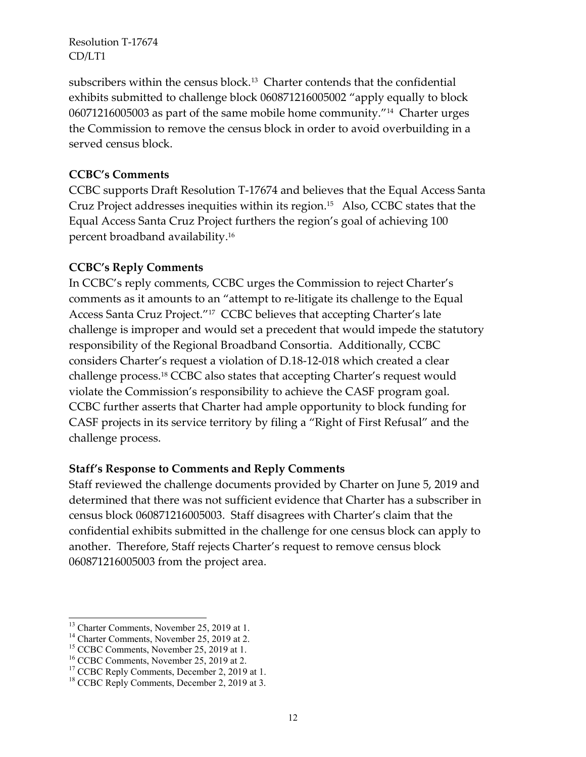subscribers within the census block.<sup>13</sup> Charter contends that the confidential exhibits submitted to challenge block 060871216005002 "apply equally to block 06071216005003 as part of the same mobile home community."<sup>14</sup> Charter urges the Commission to remove the census block in order to avoid overbuilding in a served census block.

#### **CCBC's Comments**

CCBC supports Draft Resolution T-17674 and believes that the Equal Access Santa Cruz Project addresses inequities within its region. 15 Also, CCBC states that the Equal Access Santa Cruz Project furthers the region's goal of achieving 100 percent broadband availability. 16

### **CCBC's Reply Comments**

In CCBC's reply comments, CCBC urges the Commission to reject Charter's comments as it amounts to an "attempt to re-litigate its challenge to the Equal Access Santa Cruz Project."<sup>17</sup> CCBC believes that accepting Charter's late challenge is improper and would set a precedent that would impede the statutory responsibility of the Regional Broadband Consortia. Additionally, CCBC considers Charter's request a violation of D.18-12-018 which created a clear challenge process. <sup>18</sup> CCBC also states that accepting Charter's request would violate the Commission's responsibility to achieve the CASF program goal. CCBC further asserts that Charter had ample opportunity to block funding for CASF projects in its service territory by filing a "Right of First Refusal" and the challenge process.

### **Staff's Response to Comments and Reply Comments**

Staff reviewed the challenge documents provided by Charter on June 5, 2019 and determined that there was not sufficient evidence that Charter has a subscriber in census block 060871216005003. Staff disagrees with Charter's claim that the confidential exhibits submitted in the challenge for one census block can apply to another. Therefore, Staff rejects Charter's request to remove census block 060871216005003 from the project area.

 $\overline{a}$ <sup>13</sup> Charter Comments, November 25, 2019 at 1.

<sup>&</sup>lt;sup>14</sup> Charter Comments, November 25, 2019 at 2.

<sup>&</sup>lt;sup>15</sup> CCBC Comments, November 25, 2019 at 1.

<sup>&</sup>lt;sup>16</sup> CCBC Comments, November 25, 2019 at 2.

<sup>&</sup>lt;sup>17</sup> CCBC Reply Comments, December 2, 2019 at 1.

<sup>&</sup>lt;sup>18</sup> CCBC Reply Comments, December 2, 2019 at 3.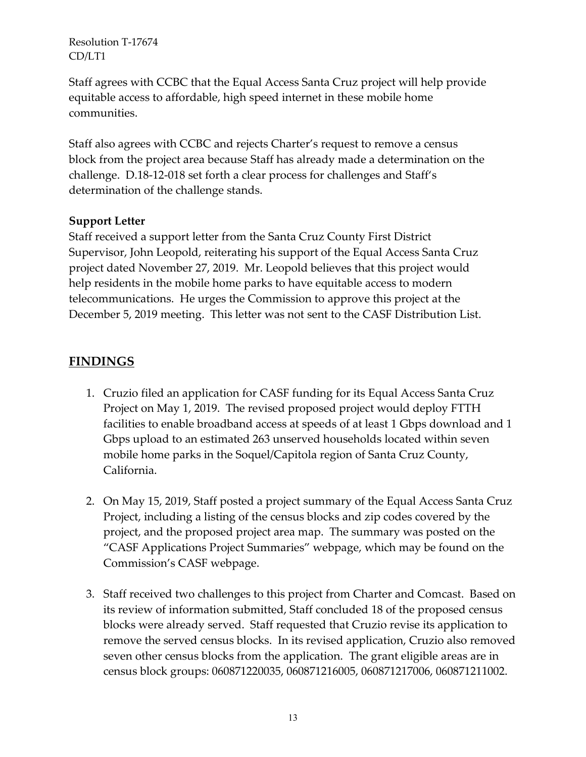Staff agrees with CCBC that the Equal Access Santa Cruz project will help provide equitable access to affordable, high speed internet in these mobile home communities.

Staff also agrees with CCBC and rejects Charter's request to remove a census block from the project area because Staff has already made a determination on the challenge. D.18-12-018 set forth a clear process for challenges and Staff's determination of the challenge stands.

### **Support Letter**

Staff received a support letter from the Santa Cruz County First District Supervisor, John Leopold, reiterating his support of the Equal Access Santa Cruz project dated November 27, 2019. Mr. Leopold believes that this project would help residents in the mobile home parks to have equitable access to modern telecommunications. He urges the Commission to approve this project at the December 5, 2019 meeting. This letter was not sent to the CASF Distribution List.

## **FINDINGS**

- 1. Cruzio filed an application for CASF funding for its Equal Access Santa Cruz Project on May 1, 2019. The revised proposed project would deploy FTTH facilities to enable broadband access at speeds of at least 1 Gbps download and 1 Gbps upload to an estimated 263 unserved households located within seven mobile home parks in the Soquel/Capitola region of Santa Cruz County, California.
- 2. On May 15, 2019, Staff posted a project summary of the Equal Access Santa Cruz Project, including a listing of the census blocks and zip codes covered by the project, and the proposed project area map. The summary was posted on the "CASF Applications Project Summaries" webpage, which may be found on the Commission's CASF webpage.
- 3. Staff received two challenges to this project from Charter and Comcast. Based on its review of information submitted, Staff concluded 18 of the proposed census blocks were already served. Staff requested that Cruzio revise its application to remove the served census blocks. In its revised application, Cruzio also removed seven other census blocks from the application. The grant eligible areas are in census block groups: 060871220035, 060871216005, 060871217006, 060871211002.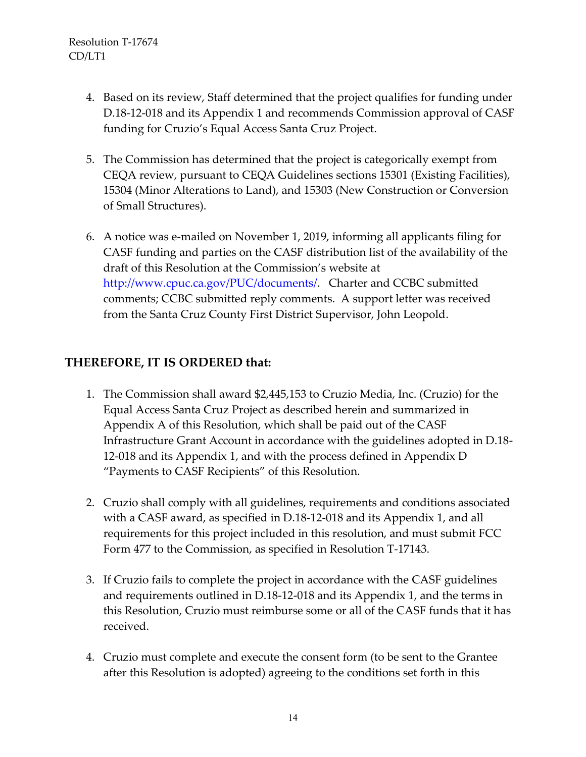- 4. Based on its review, Staff determined that the project qualifies for funding under D.18-12-018 and its Appendix 1 and recommends Commission approval of CASF funding for Cruzio's Equal Access Santa Cruz Project.
- 5. The Commission has determined that the project is categorically exempt from CEQA review, pursuant to CEQA Guidelines sections 15301 (Existing Facilities), 15304 (Minor Alterations to Land), and 15303 (New Construction or Conversion of Small Structures).
- 6. A notice was e-mailed on November 1, 2019, informing all applicants filing for CASF funding and parties on the CASF distribution list of the availability of the draft of this Resolution at the Commission's website at http://www.cpuc.ca.gov/PUC/documents/. Charter and CCBC submitted comments; CCBC submitted reply comments. A support letter was received from the Santa Cruz County First District Supervisor, John Leopold.

## **THEREFORE, IT IS ORDERED that:**

- 1. The Commission shall award \$2,445,153 to Cruzio Media, Inc. (Cruzio) for the Equal Access Santa Cruz Project as described herein and summarized in Appendix A of this Resolution, which shall be paid out of the CASF Infrastructure Grant Account in accordance with the guidelines adopted in D.18- 12-018 and its Appendix 1, and with the process defined in Appendix D "Payments to CASF Recipients" of this Resolution.
- 2. Cruzio shall comply with all guidelines, requirements and conditions associated with a CASF award, as specified in D.18-12-018 and its Appendix 1, and all requirements for this project included in this resolution, and must submit FCC Form 477 to the Commission, as specified in Resolution T-17143.
- 3. If Cruzio fails to complete the project in accordance with the CASF guidelines and requirements outlined in D.18-12-018 and its Appendix 1, and the terms in this Resolution, Cruzio must reimburse some or all of the CASF funds that it has received.
- 4. Cruzio must complete and execute the consent form (to be sent to the Grantee after this Resolution is adopted) agreeing to the conditions set forth in this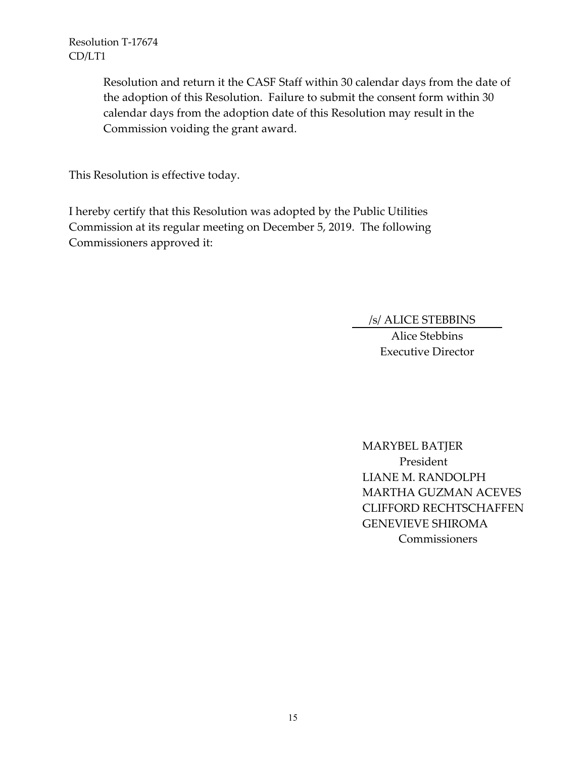> Resolution and return it the CASF Staff within 30 calendar days from the date of the adoption of this Resolution. Failure to submit the consent form within 30 calendar days from the adoption date of this Resolution may result in the Commission voiding the grant award.

This Resolution is effective today.

I hereby certify that this Resolution was adopted by the Public Utilities Commission at its regular meeting on December 5, 2019. The following Commissioners approved it:

/s/ ALICE STEBBINS

Alice Stebbins Executive Director

MARYBEL BATJER President LIANE M. RANDOLPH MARTHA GUZMAN ACEVES CLIFFORD RECHTSCHAFFEN GENEVIEVE SHIROMA Commissioners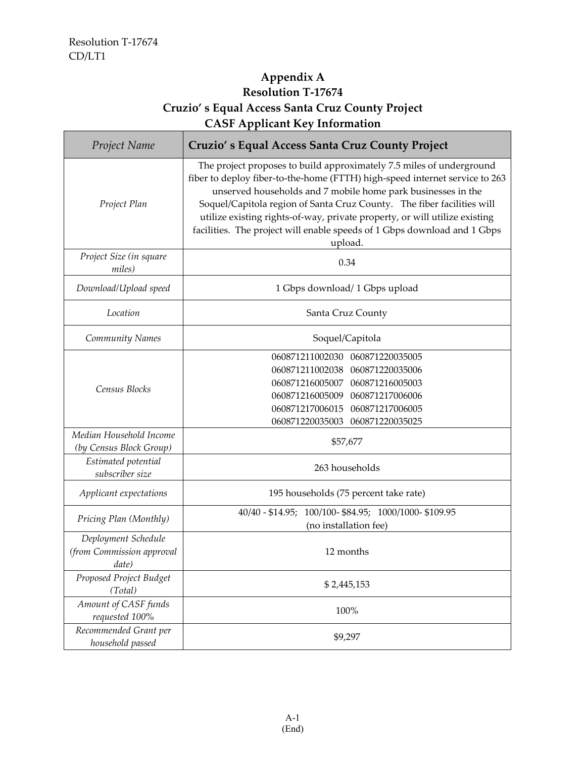# **Appendix A Resolution T-17674 Cruzio' s Equal Access Santa Cruz County Project CASF Applicant Key Information**

| Project Name                                              | Cruzio's Equal Access Santa Cruz County Project                                                                                                                                                                                                                                                                                                                                                                                                                    |  |
|-----------------------------------------------------------|--------------------------------------------------------------------------------------------------------------------------------------------------------------------------------------------------------------------------------------------------------------------------------------------------------------------------------------------------------------------------------------------------------------------------------------------------------------------|--|
| Project Plan                                              | The project proposes to build approximately 7.5 miles of underground<br>fiber to deploy fiber-to-the-home (FTTH) high-speed internet service to 263<br>unserved households and 7 mobile home park businesses in the<br>Soquel/Capitola region of Santa Cruz County. The fiber facilities will<br>utilize existing rights-of-way, private property, or will utilize existing<br>facilities. The project will enable speeds of 1 Gbps download and 1 Gbps<br>upload. |  |
| Project Size (in square<br>miles)                         | 0.34                                                                                                                                                                                                                                                                                                                                                                                                                                                               |  |
| Download/Upload speed                                     | 1 Gbps download/ 1 Gbps upload                                                                                                                                                                                                                                                                                                                                                                                                                                     |  |
| Location                                                  | Santa Cruz County                                                                                                                                                                                                                                                                                                                                                                                                                                                  |  |
| Community Names                                           | Soquel/Capitola                                                                                                                                                                                                                                                                                                                                                                                                                                                    |  |
| Census Blocks                                             | 060871211002030<br>060871220035005<br>060871211002038<br>060871220035006<br>060871216005007<br>060871216005003<br>060871216005009 060871217006006<br>060871217006015<br>060871217006005<br>060871220035003<br>060871220035025                                                                                                                                                                                                                                      |  |
| Median Household Income<br>(by Census Block Group)        | \$57,677                                                                                                                                                                                                                                                                                                                                                                                                                                                           |  |
| Estimated potential<br>subscriber size                    | 263 households                                                                                                                                                                                                                                                                                                                                                                                                                                                     |  |
| Applicant expectations                                    | 195 households (75 percent take rate)                                                                                                                                                                                                                                                                                                                                                                                                                              |  |
| Pricing Plan (Monthly)                                    | 40/40 - \$14.95; 100/100 - \$84.95; 1000/1000 - \$109.95<br>(no installation fee)                                                                                                                                                                                                                                                                                                                                                                                  |  |
| Deployment Schedule<br>(from Commission approval<br>date) | 12 months                                                                                                                                                                                                                                                                                                                                                                                                                                                          |  |
| Proposed Project Budget<br>(Total)                        | \$2,445,153                                                                                                                                                                                                                                                                                                                                                                                                                                                        |  |
| Amount of CASF funds<br>requested 100%                    | 100%                                                                                                                                                                                                                                                                                                                                                                                                                                                               |  |
| Recommended Grant per<br>household passed                 | \$9,297                                                                                                                                                                                                                                                                                                                                                                                                                                                            |  |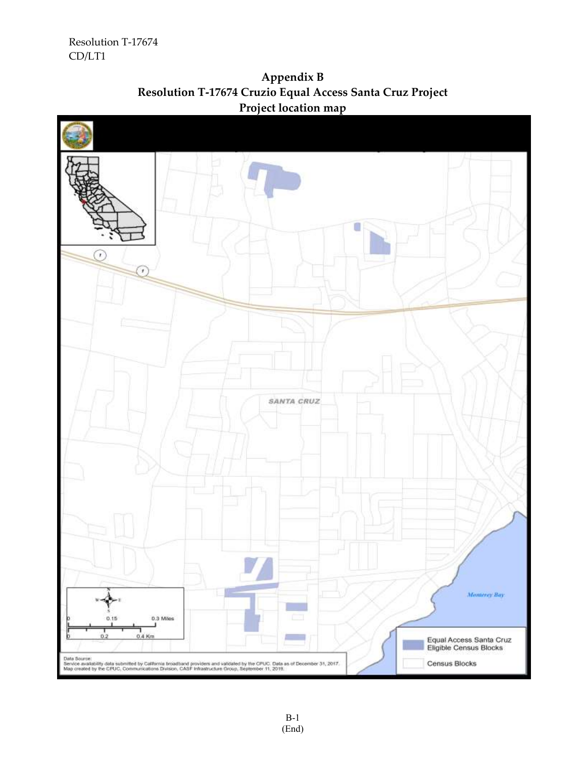

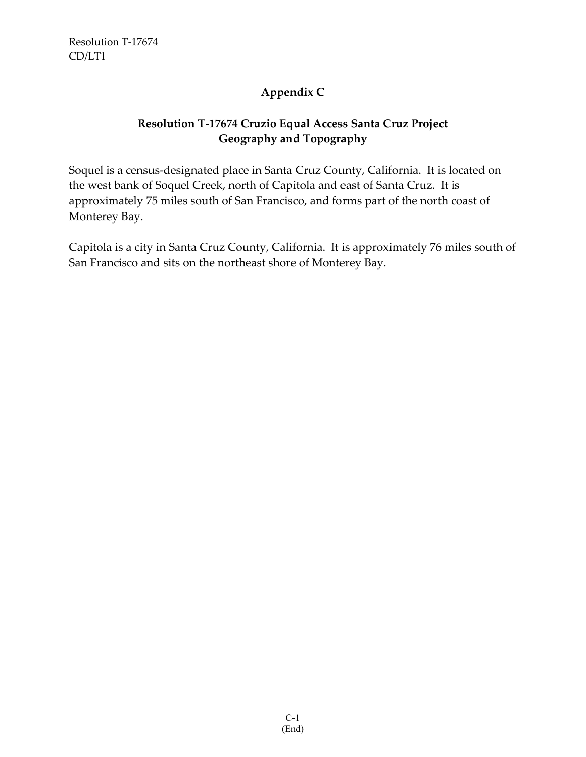# **Appendix C**

# **Resolution T-17674 Cruzio Equal Access Santa Cruz Project Geography and Topography**

Soquel is a census-designated place in Santa Cruz County, California. It is located on the west bank of Soquel Creek, north of Capitola and east of Santa Cruz. It is approximately 75 miles south of San Francisco, and forms part of the north coast of Monterey Bay.

Capitola is a city in Santa Cruz County, California. It is approximately 76 miles south of San Francisco and sits on the northeast shore of Monterey Bay.